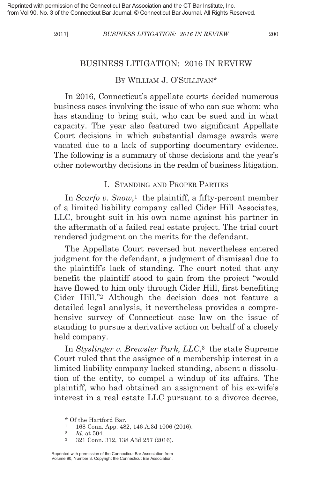## BY WILLIAM J. O'SULLIVAN\*

In 2016, Connecticut's appellate courts decided numerous business cases involving the issue of who can sue whom: who has standing to bring suit, who can be sued and in what capacity. The year also featured two significant Appellate Court decisions in which substantial damage awards were vacated due to a lack of supporting documentary evidence. The following is a summary of those decisions and the year's other noteworthy decisions in the realm of business litigation.

### I. STANDING AND PROPER PARTIES

In *Scarfo v. Snow*,<sup>1</sup> the plaintiff, a fifty-percent member of a limited liability company called Cider Hill Associates, LLC, brought suit in his own name against his partner in the aftermath of a failed real estate project. The trial court rendered judgment on the merits for the defendant.

The Appellate Court reversed but nevertheless entered judgment for the defendant, a judgment of dismissal due to the plaintiff's lack of standing. The court noted that any benefit the plaintiff stood to gain from the project "would have flowed to him only through Cider Hill, first benefiting Cider Hill."2 Although the decision does not feature a detailed legal analysis, it nevertheless provides a comprehensive survey of Connecticut case law on the issue of standing to pursue a derivative action on behalf of a closely held company.

In *Styslinger v. Brewster Park, LLC*,3 the state Supreme Court ruled that the assignee of a membership interest in a limited liability company lacked standing, absent a dissolution of the entity, to compel a windup of its affairs. The plaintiff, who had obtained an assignment of his ex-wife's interest in a real estate LLC pursuant to a divorce decree,

<sup>\*</sup> Of the Hartford Bar.

<sup>1</sup> 168 Conn. App. 482, 146 A.3d 1006 (2016).

<sup>2</sup> *Id*. at 504.

<sup>3</sup> 321 Conn. 312, 138 A3d 257 (2016).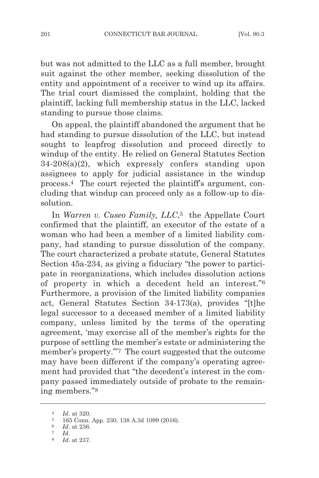but was not admitted to the LLC as a full member, brought suit against the other member, seeking dissolution of the entity and appointment of a receiver to wind up its affairs. The trial court dismissed the complaint, holding that the plaintiff, lacking full membership status in the LLC, lacked standing to pursue those claims.

On appeal, the plaintiff abandoned the argument that he had standing to pursue dissolution of the LLC, but instead sought to leapfrog dissolution and proceed directly to windup of the entity. He relied on General Statutes Section  $34-208(a)(2)$ , which expressly confers standing upon assignees to apply for judicial assistance in the windup process.4 The court rejected the plaintiff's argument, concluding that windup can proceed only as a follow-up to dissolution.

In *Warren v. Cuseo Family, LLC*,<sup>5</sup> the Appellate Court confirmed that the plaintiff, an executor of the estate of a woman who had been a member of a limited liability company, had standing to pursue dissolution of the company. The court characterized a probate statute, General Statutes Section 45a-234, as giving a fiduciary "the power to participate in reorganizations, which includes dissolution actions of property in which a decedent held an interest."6 Furthermore, a provision of the limited liability companies act, General Statutes Section 34-173(a), provides "[t]he legal successor to a deceased member of a limited liability company, unless limited by the terms of the operating agreement, 'may exercise all of the member's rights for the purpose of settling the member's estate or administering the member's property.'"7 The court suggested that the outcome may have been different if the company's operating agreement had provided that "the decedent's interest in the company passed immediately outside of probate to the remaining members."8

<sup>4</sup> *Id*. at 320.

<sup>5</sup> 165 Conn. App. 230, 138 A.3d 1099 (2016).

 $\frac{6}{7}$  *Id.* at 236.

<sup>7</sup> *Id*. 8 *Id*. at 237.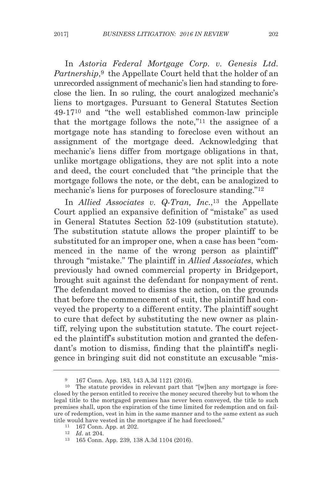In *Astoria Federal Mortgage Corp. v. Genesis Ltd. Partnership*.<sup>9</sup> the Appellate Court held that the holder of an unrecorded assignment of mechanic's lien had standing to foreclose the lien. In so ruling, the court analogized mechanic's liens to mortgages. Pursuant to General Statutes Section 49-1710 and "the well established common-law principle that the mortgage follows the note,"11 the assignee of a mortgage note has standing to foreclose even without an assignment of the mortgage deed. Acknowledging that mechanic's liens differ from mortgage obligations in that, unlike mortgage obligations, they are not split into a note and deed, the court concluded that "the principle that the mortgage follows the note, or the debt, can be analogized to mechanic's liens for purposes of foreclosure standing."12

In *Allied Associates v. Q-Tran, Inc.*,<sup>13</sup> the Appellate Court applied an expansive definition of "mistake" as used in General Statutes Section 52-109 (substitution statute). The substitution statute allows the proper plaintiff to be substituted for an improper one, when a case has been "commenced in the name of the wrong person as plaintiff" through "mistake." The plaintiff in *Allied Associates*, which previously had owned commercial property in Bridgeport, brought suit against the defendant for nonpayment of rent. The defendant moved to dismiss the action, on the grounds that before the commencement of suit, the plaintiff had conveyed the property to a different entity. The plaintiff sought to cure that defect by substituting the new owner as plaintiff, relying upon the substitution statute. The court rejected the plaintiff's substitution motion and granted the defendant's motion to dismiss, finding that the plaintiff's negligence in bringing suit did not constitute an excusable "mis-

<sup>9</sup> 167 Conn. App. 183, 143 A.3d 1121 (2016).

<sup>10</sup> The statute provides in relevant part that "[w]hen any mortgage is foreclosed by the person entitled to receive the money secured thereby but to whom the legal title to the mortgaged premises has never been conveyed, the title to such premises shall, upon the expiration of the time limited for redemption and on failure of redemption, vest in him in the same manner and to the same extent as such title would have vested in the mortgagee if he had foreclosed."

<sup>11</sup> 167 Conn. App. at 202.

<sup>12</sup> *Id*. at 204.

<sup>13</sup> 165 Conn. App. 239, 138 A.3d 1104 (2016).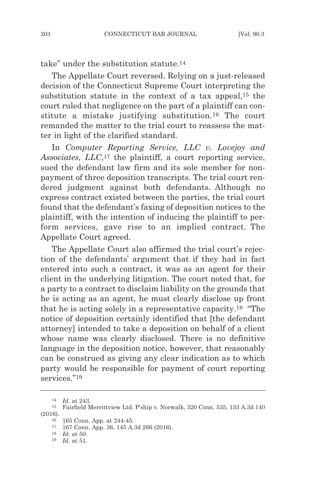take" under the substitution statute.14

The Appellate Court reversed. Relying on a just-released decision of the Connecticut Supreme Court interpreting the substitution statute in the context of a tax appeal,15 the court ruled that negligence on the part of a plaintiff can constitute a mistake justifying substitution.16 The court remanded the matter to the trial court to reassess the matter in light of the clarified standard.

In *Computer Reporting Service, LLC v. Lovejoy and Associates, LLC*,17 the plaintiff, a court reporting service, sued the defendant law firm and its sole member for nonpayment of three deposition transcripts. The trial court rendered judgment against both defendants. Although no express contract existed between the parties, the trial court found that the defendant's faxing of deposition notices to the plaintiff, with the intention of inducing the plaintiff to perform services, gave rise to an implied contract. The Appellate Court agreed.

The Appellate Court also affirmed the trial court's rejection of the defendants' argument that if they had in fact entered into such a contract, it was as an agent for their client in the underlying litigation. The court noted that, for a party to a contract to disclaim liability on the grounds that he is acting as an agent, he must clearly disclose up front that he is acting solely in a representative capacity.18 "The notice of deposition certainly identified that [the defendant attorney] intended to take a deposition on behalf of a client whose name was clearly disclosed. There is no definitive language in the deposition notice, however, that reasonably can be construed as giving any clear indication as to which party would be responsible for payment of court reporting services<sup>"19</sup>

<sup>14</sup> *Id*. at 243.

<sup>15</sup> Fairfield Merrittview Ltd. P'ship v. Norwalk, 320 Conn. 535, 133 A.3d 140 (2016).

<sup>16</sup> 165 Conn. App. at 244-45.

<sup>17</sup> 167 Conn. App. 36, 145 A.3d 266 (2016).

<sup>18</sup> *Id*. at 50.

<sup>19</sup> *Id*. at 51.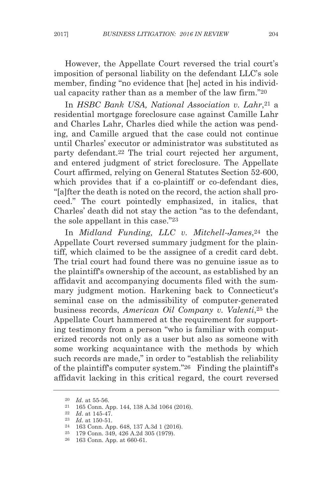However, the Appellate Court reversed the trial court's imposition of personal liability on the defendant LLC's sole member, finding "no evidence that [he] acted in his individual capacity rather than as a member of the law firm."20

In *HSBC Bank USA, National Association v. Lahr*,21 a residential mortgage foreclosure case against Camille Lahr and Charles Lahr, Charles died while the action was pending, and Camille argued that the case could not continue until Charles' executor or administrator was substituted as party defendant.22 The trial court rejected her argument, and entered judgment of strict foreclosure. The Appellate Court affirmed, relying on General Statutes Section 52-600, which provides that if a co-plaintiff or co-defendant dies, "[a]fter the death is noted on the record, the action shall proceed." The court pointedly emphasized, in italics, that Charles' death did not stay the action "as to the defendant, the sole appellant in this case."23

In *Midland Funding, LLC v. Mitchell-James*,24 the Appellate Court reversed summary judgment for the plaintiff, which claimed to be the assignee of a credit card debt. The trial court had found there was no genuine issue as to the plaintiff's ownership of the account, as established by an affidavit and accompanying documents filed with the summary judgment motion. Harkening back to Connecticut's seminal case on the admissibility of computer-generated business records, *American Oil Company v. Valenti*,25 the Appellate Court hammered at the requirement for supporting testimony from a person "who is familiar with computerized records not only as a user but also as someone with some working acquaintance with the methods by which such records are made," in order to "establish the reliability of the plaintiff's computer system."26 Finding the plaintiff's affidavit lacking in this critical regard, the court reversed

25 179 Conn. 349, 426 A.2d 305 (1979).

<sup>20</sup> *Id*. at 55-56.

<sup>21</sup> 165 Conn. App. 144, 138 A.3d 1064 (2016).

<sup>22</sup> *Id*. at 145-47.

<sup>23</sup> *Id*. at 150-51.

<sup>24</sup> 163 Conn. App. 648, 137 A.3d 1 (2016).

<sup>26</sup> 163 Conn. App. at 660-61.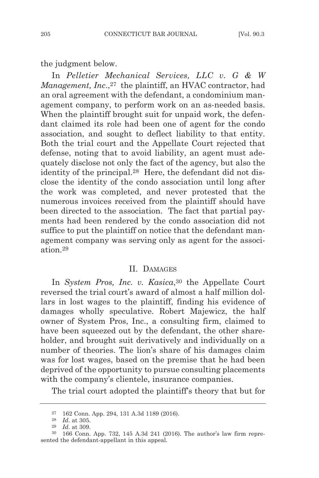the judgment below.

In *Pelletier Mechanical Services, LLC v. G & W Management, Inc.*,<sup>27</sup> the plaintiff, an HVAC contractor, had an oral agreement with the defendant, a condominium management company, to perform work on an as-needed basis. When the plaintiff brought suit for unpaid work, the defendant claimed its role had been one of agent for the condo association, and sought to deflect liability to that entity. Both the trial court and the Appellate Court rejected that defense, noting that to avoid liability, an agent must adequately disclose not only the fact of the agency, but also the identity of the principal.28 Here, the defendant did not disclose the identity of the condo association until long after the work was completed, and never protested that the numerous invoices received from the plaintiff should have been directed to the association. The fact that partial payments had been rendered by the condo association did not suffice to put the plaintiff on notice that the defendant management company was serving only as agent for the association 29

#### II. DAMAGES

In *System Pros, Inc. v. Kasica*,<sup>30</sup> the Appellate Court reversed the trial court's award of almost a half million dollars in lost wages to the plaintiff, finding his evidence of damages wholly speculative. Robert Majewicz, the half owner of System Pros, Inc., a consulting firm, claimed to have been squeezed out by the defendant, the other shareholder, and brought suit derivatively and individually on a number of theories. The lion's share of his damages claim was for lost wages, based on the premise that he had been deprived of the opportunity to pursue consulting placements with the company's clientele, insurance companies.

The trial court adopted the plaintiff's theory that but for

<sup>27</sup> 162 Conn. App. 294, 131 A.3d 1189 (2016).

<sup>28</sup> *Id*. at 305.

<sup>29</sup> *Id*. at 309.

<sup>30</sup> 166 Conn. App. 732, 145 A.3d 241 (2016). The author's law firm represented the defendant-appellant in this appeal.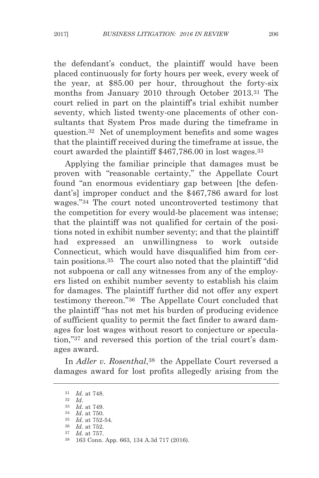the defendant's conduct, the plaintiff would have been placed continuously for forty hours per week, every week of the year, at \$85.00 per hour, throughout the forty-six months from January 2010 through October 2013.31 The court relied in part on the plaintiff's trial exhibit number seventy, which listed twenty-one placements of other consultants that System Pros made during the timeframe in question.32 Net of unemployment benefits and some wages that the plaintiff received during the timeframe at issue, the court awarded the plaintiff \$467,786.00 in lost wages.33

Applying the familiar principle that damages must be proven with "reasonable certainty," the Appellate Court found "an enormous evidentiary gap between [the defendant's] improper conduct and the \$467,786 award for lost wages."34 The court noted uncontroverted testimony that the competition for every would-be placement was intense; that the plaintiff was not qualified for certain of the positions noted in exhibit number seventy; and that the plaintiff had expressed an unwillingness to work outside Connecticut, which would have disqualified him from certain positions.35 The court also noted that the plaintiff "did not subpoena or call any witnesses from any of the employers listed on exhibit number seventy to establish his claim for damages. The plaintiff further did not offer any expert testimony thereon."36 The Appellate Court concluded that the plaintiff "has not met his burden of producing evidence of sufficient quality to permit the fact finder to award damages for lost wages without resort to conjecture or speculation,"37 and reversed this portion of the trial court's damages award.

In *Adler v. Rosenthal*,38 the Appellate Court reversed a damages award for lost profits allegedly arising from the

<sup>31</sup> *Id*. at 748.

<sup>32</sup> *Id*.

<sup>33</sup> *Id*. at 749.

<sup>34</sup> *Id*. at 750.

<sup>35</sup> *Id*. at 752-54.

<sup>36</sup> *Id*. at 752. 37 *Id*. at 757.

<sup>38</sup> 163 Conn. App. 663, 134 A.3d 717 (2016).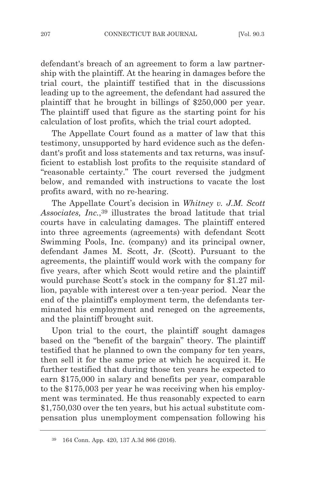defendant's breach of an agreement to form a law partnership with the plaintiff. At the hearing in damages before the trial court, the plaintiff testified that in the discussions leading up to the agreement, the defendant had assured the plaintiff that he brought in billings of \$250,000 per year. The plaintiff used that figure as the starting point for his calculation of lost profits, which the trial court adopted.

The Appellate Court found as a matter of law that this testimony, unsupported by hard evidence such as the defendant's profit and loss statements and tax returns, was insufficient to establish lost profits to the requisite standard of "reasonable certainty." The court reversed the judgment below, and remanded with instructions to vacate the lost profits award, with no re-hearing.

The Appellate Court's decision in *Whitney v. J.M. Scott Associates, Inc.*,39 illustrates the broad latitude that trial courts have in calculating damages. The plaintiff entered into three agreements (agreements) with defendant Scott Swimming Pools, Inc. (company) and its principal owner, defendant James M. Scott, Jr. (Scott). Pursuant to the agreements, the plaintiff would work with the company for five years, after which Scott would retire and the plaintiff would purchase Scott's stock in the company for \$1.27 million, payable with interest over a ten-year period. Near the end of the plaintiff's employment term, the defendants terminated his employment and reneged on the agreements, and the plaintiff brought suit.

Upon trial to the court, the plaintiff sought damages based on the "benefit of the bargain" theory. The plaintiff testified that he planned to own the company for ten years, then sell it for the same price at which he acquired it. He further testified that during those ten years he expected to earn \$175,000 in salary and benefits per year, comparable to the \$175,003 per year he was receiving when his employment was terminated. He thus reasonably expected to earn \$1,750,030 over the ten years, but his actual substitute compensation plus unemployment compensation following his

<sup>39</sup> 164 Conn. App. 420, 137 A.3d 866 (2016).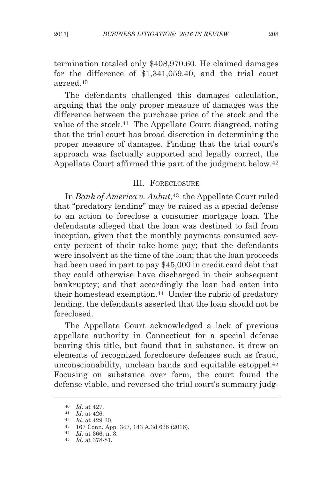termination totaled only \$408,970.60. He claimed damages for the difference of \$1,341,059.40, and the trial court agreed.40

The defendants challenged this damages calculation, arguing that the only proper measure of damages was the difference between the purchase price of the stock and the value of the stock.41 The Appellate Court disagreed, noting that the trial court has broad discretion in determining the proper measure of damages. Finding that the trial court's approach was factually supported and legally correct, the Appellate Court affirmed this part of the judgment below.42

# III. FORECLOSURE

In *Bank of America v. Aubut*,<sup>43</sup> the Appellate Court ruled that "predatory lending" may be raised as a special defense to an action to foreclose a consumer mortgage loan. The defendants alleged that the loan was destined to fail from inception, given that the monthly payments consumed seventy percent of their take-home pay; that the defendants were insolvent at the time of the loan; that the loan proceeds had been used in part to pay \$45,000 in credit card debt that they could otherwise have discharged in their subsequent bankruptcy; and that accordingly the loan had eaten into their homestead exemption.44 Under the rubric of predatory lending, the defendants asserted that the loan should not be foreclosed.

The Appellate Court acknowledged a lack of previous appellate authority in Connecticut for a special defense bearing this title, but found that in substance, it drew on elements of recognized foreclosure defenses such as fraud, unconscionability, unclean hands and equitable estoppel.45 Focusing on substance over form, the court found the defense viable, and reversed the trial court's summary judg-

<sup>40</sup> *Id*. at 427.

<sup>41</sup> *Id*. at 426.

<sup>42</sup> *Id*. at 429-30.

<sup>43</sup> 167 Conn. App. 347, 143 A.3d 638 (2016).

<sup>44</sup> *Id*. at 366, n. 3.

<sup>45</sup> *Id*. at 378-81.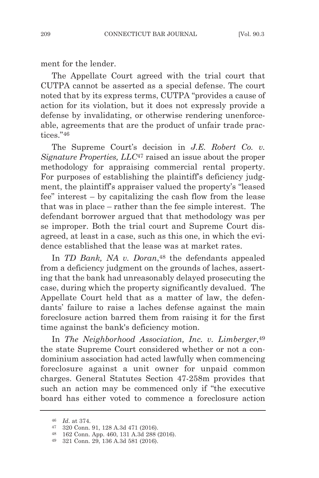ment for the lender.

The Appellate Court agreed with the trial court that CUTPA cannot be asserted as a special defense. The court noted that by its express terms, CUTPA "provides a cause of action for its violation, but it does not expressly provide a defense by invalidating, or otherwise rendering unenforceable, agreements that are the product of unfair trade practices."46

The Supreme Court's decision in *J.E. Robert Co. v. Signature Properties, LLC*<sup>47</sup> raised an issue about the proper methodology for appraising commercial rental property. For purposes of establishing the plaintiff's deficiency judgment, the plaintiff's appraiser valued the property's "leased fee" interest – by capitalizing the cash flow from the lease that was in place – rather than the fee simple interest. The defendant borrower argued that that methodology was per se improper. Both the trial court and Supreme Court disagreed, at least in a case, such as this one, in which the evidence established that the lease was at market rates.

In *TD Bank, NA v. Doran*<sup>48</sup> the defendants appealed from a deficiency judgment on the grounds of laches, asserting that the bank had unreasonably delayed prosecuting the case, during which the property significantly devalued. The Appellate Court held that as a matter of law, the defendants' failure to raise a laches defense against the main foreclosure action barred them from raising it for the first time against the bank's deficiency motion.

In *The Neighborhood Association, Inc. v. Limberger*,49 the state Supreme Court considered whether or not a condominium association had acted lawfully when commencing foreclosure against a unit owner for unpaid common charges. General Statutes Section 47-258m provides that such an action may be commenced only if "the executive board has either voted to commence a foreclosure action

<sup>46</sup> *Id*. at 374.

<sup>47</sup> 320 Conn. 91, 128 A.3d 471 (2016).

<sup>48</sup> 162 Conn. App. 460, 131 A.3d 288 (2016).

<sup>49</sup> 321 Conn. 29, 136 A.3d 581 (2016).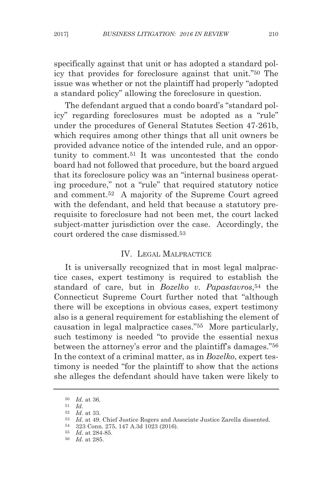specifically against that unit or has adopted a standard policy that provides for foreclosure against that unit."50 The issue was whether or not the plaintiff had properly "adopted a standard policy" allowing the foreclosure in question.

The defendant argued that a condo board's "standard policy" regarding foreclosures must be adopted as a "rule" under the procedures of General Statutes Section 47-261b, which requires among other things that all unit owners be provided advance notice of the intended rule, and an opportunity to comment.51 It was uncontested that the condo board had not followed that procedure, but the board argued that its foreclosure policy was an "internal business operating procedure," not a "rule" that required statutory notice and comment.52 A majority of the Supreme Court agreed with the defendant, and held that because a statutory prerequisite to foreclosure had not been met, the court lacked subject-matter jurisdiction over the case. Accordingly, the court ordered the case dismissed<sup>53</sup>

# IV. LEGAL MALPRACTICE

It is universally recognized that in most legal malpractice cases, expert testimony is required to establish the standard of care, but in *Bozelko v. Papastavros*,54 the Connecticut Supreme Court further noted that "although there will be exceptions in obvious cases, expert testimony also is a general requirement for establishing the element of causation in legal malpractice cases."55 More particularly, such testimony is needed "to provide the essential nexus between the attorney's error and the plaintiff's damages."56 In the context of a criminal matter, as in *Bozelko*, expert testimony is needed "for the plaintiff to show that the actions she alleges the defendant should have taken were likely to

<sup>50</sup> *Id*. at 36.

<sup>51</sup> *Id*. 52 *Id*. at 33.

<sup>53</sup> *Id*. at 49. Chief Justice Rogers and Associate Justice Zarella dissented.

<sup>54</sup> 323 Conn. 275, 147 A.3d 1023 (2016).

<sup>55</sup> *Id*. at 284-85.

<sup>56</sup> *Id*. at 285.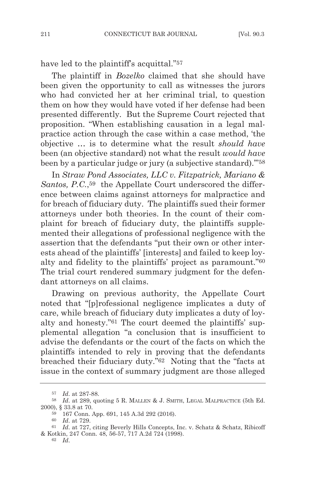have led to the plaintiff's acquittal."<sup>57</sup>

The plaintiff in *Bozelko* claimed that she should have been given the opportunity to call as witnesses the jurors who had convicted her at her criminal trial, to question them on how they would have voted if her defense had been presented differently. But the Supreme Court rejected that proposition. "When establishing causation in a legal malpractice action through the case within a case method, 'the objective … is to determine what the result *should have* been (an objective standard) not what the result *would have* been by a particular judge or jury (a subjective standard).'"58

In *Straw Pond Associates, LLC v. Fitzpatrick, Mariano & Santos, P.C.*,59 the Appellate Court underscored the difference between claims against attorneys for malpractice and for breach of fiduciary duty. The plaintiffs sued their former attorneys under both theories. In the count of their complaint for breach of fiduciary duty, the plaintiffs supplemented their allegations of professional negligence with the assertion that the defendants "put their own or other interests ahead of the plaintiffs' [interests] and failed to keep loyalty and fidelity to the plaintiffs' project as paramount."60 The trial court rendered summary judgment for the defendant attorneys on all claims.

Drawing on previous authority, the Appellate Court noted that "[p]rofessional negligence implicates a duty of care, while breach of fiduciary duty implicates a duty of loyalty and honesty."61 The court deemed the plaintiffs' supplemental allegation "a conclusion that is insufficient to advise the defendants or the court of the facts on which the plaintiffs intended to rely in proving that the defendants breached their fiduciary duty."62 Noting that the "facts at issue in the context of summary judgment are those alleged

<sup>57</sup> *Id*. at 287-88.

<sup>58</sup> *Id*. at 289, quoting 5 R. MALLEN & J. SMITH, LEGAL MALPRACTICE (5th Ed. 2000), § 33.8 at 70.

<sup>59</sup> 167 Conn. App. 691, 145 A.3d 292 (2016).

<sup>60</sup> *Id*. at 729.

<sup>61</sup> *Id*. at 727, citing Beverly Hills Concepts, Inc. v. Schatz & Schatz, Ribicoff & Kotkin, 247 Conn. 48, 56-57, 717 A.2d 724 (1998).

<sup>62</sup> *Id*.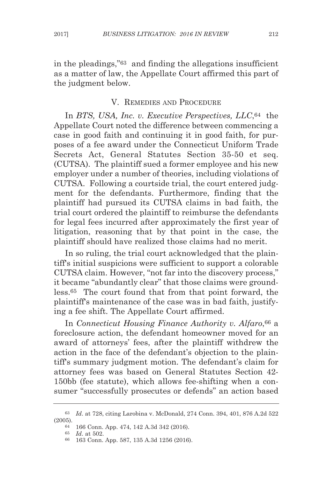in the pleadings,"63 and finding the allegations insufficient as a matter of law, the Appellate Court affirmed this part of the judgment below.

#### V. REMEDIES AND PROCEDURE

In *BTS, USA, Inc. v. Executive Perspectives, LLC*,64 the Appellate Court noted the difference between commencing a case in good faith and continuing it in good faith, for purposes of a fee award under the Connecticut Uniform Trade Secrets Act, General Statutes Section 35-50 et seq. (CUTSA). The plaintiff sued a former employee and his new employer under a number of theories, including violations of CUTSA. Following a courtside trial, the court entered judgment for the defendants. Furthermore, finding that the plaintiff had pursued its CUTSA claims in bad faith, the trial court ordered the plaintiff to reimburse the defendants for legal fees incurred after approximately the first year of litigation, reasoning that by that point in the case, the plaintiff should have realized those claims had no merit.

In so ruling, the trial court acknowledged that the plaintiff's initial suspicions were sufficient to support a colorable CUTSA claim. However, "not far into the discovery process," it became "abundantly clear" that those claims were groundless.65 The court found that from that point forward, the plaintiff's maintenance of the case was in bad faith, justifying a fee shift. The Appellate Court affirmed.

In *Connecticut Housing Finance Authority v. Alfaro*,66 a foreclosure action, the defendant homeowner moved for an award of attorneys' fees, after the plaintiff withdrew the action in the face of the defendant's objection to the plaintiff's summary judgment motion. The defendant's claim for attorney fees was based on General Statutes Section 42- 150bb (fee statute), which allows fee-shifting when a consumer "successfully prosecutes or defends" an action based

<sup>63</sup> *Id*. at 728, citing Larobina v. McDonald, 274 Conn. 394, 401, 876 A.2d 522 (2005).

<sup>64</sup> 166 Conn. App. 474, 142 A.3d 342 (2016).

<sup>65</sup> *Id*. at 502.

<sup>66</sup> 163 Conn. App. 587, 135 A.3d 1256 (2016).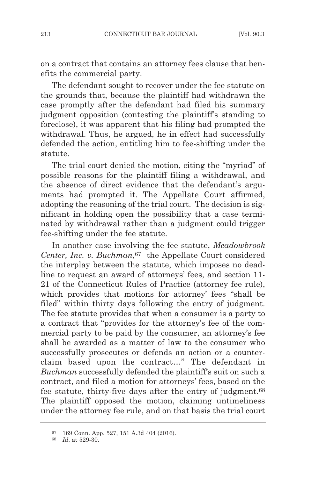on a contract that contains an attorney fees clause that benefits the commercial party.

The defendant sought to recover under the fee statute on the grounds that, because the plaintiff had withdrawn the case promptly after the defendant had filed his summary judgment opposition (contesting the plaintiff's standing to foreclose), it was apparent that his filing had prompted the withdrawal. Thus, he argued, he in effect had successfully defended the action, entitling him to fee-shifting under the statute.

The trial court denied the motion, citing the "myriad" of possible reasons for the plaintiff filing a withdrawal, and the absence of direct evidence that the defendant's arguments had prompted it. The Appellate Court affirmed, adopting the reasoning of the trial court. The decision is significant in holding open the possibility that a case terminated by withdrawal rather than a judgment could trigger fee-shifting under the fee statute.

In another case involving the fee statute, *Meadowbrook Center, Inc. v. Buchman*, <sup>67</sup> the Appellate Court considered the interplay between the statute, which imposes no deadline to request an award of attorneys' fees, and section 11- 21 of the Connecticut Rules of Practice (attorney fee rule), which provides that motions for attorney' fees "shall be filed" within thirty days following the entry of judgment. The fee statute provides that when a consumer is a party to a contract that "provides for the attorney's fee of the commercial party to be paid by the consumer, an attorney's fee shall be awarded as a matter of law to the consumer who successfully prosecutes or defends an action or a counterclaim based upon the contract…" The defendant in *Buchman* successfully defended the plaintiff's suit on such a contract, and filed a motion for attorneys' fees, based on the fee statute, thirty-five days after the entry of judgment.68 The plaintiff opposed the motion, claiming untimeliness under the attorney fee rule, and on that basis the trial court

<sup>67</sup> 169 Conn. App. 527, 151 A.3d 404 (2016).

<sup>68</sup> *Id*. at 529-30.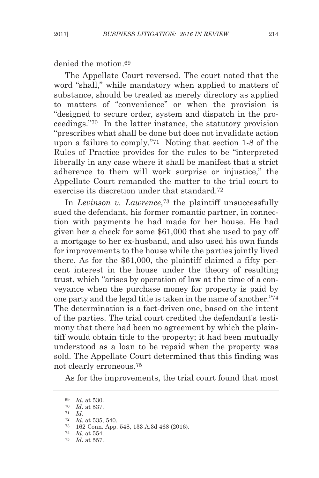denied the motion.69

The Appellate Court reversed. The court noted that the word "shall," while mandatory when applied to matters of substance, should be treated as merely directory as applied to matters of "convenience" or when the provision is "designed to secure order, system and dispatch in the proceedings."70 In the latter instance, the statutory provision "prescribes what shall be done but does not invalidate action upon a failure to comply."71 Noting that section 1-8 of the Rules of Practice provides for the rules to be "interpreted liberally in any case where it shall be manifest that a strict adherence to them will work surprise or injustice," the Appellate Court remanded the matter to the trial court to exercise its discretion under that standard.72

In *Levinson v. Lawrence*,73 the plaintiff unsuccessfully sued the defendant, his former romantic partner, in connection with payments he had made for her house. He had given her a check for some \$61,000 that she used to pay off a mortgage to her ex-husband, and also used his own funds for improvements to the house while the parties jointly lived there. As for the \$61,000, the plaintiff claimed a fifty percent interest in the house under the theory of resulting trust, which "arises by operation of law at the time of a conveyance when the purchase money for property is paid by one party and the legal title is taken in the name of another."74 The determination is a fact-driven one, based on the intent of the parties. The trial court credited the defendant's testimony that there had been no agreement by which the plaintiff would obtain title to the property; it had been mutually understood as a loan to be repaid when the property was sold. The Appellate Court determined that this finding was not clearly erroneous.75

As for the improvements, the trial court found that most

<sup>69</sup> *Id*. at 530.

<sup>70</sup> *Id*. at 537.

<sup>71</sup> *Id*.

<sup>72</sup> *Id*. at 535, 540.

<sup>73</sup> 162 Conn. App. 548, 133 A.3d 468 (2016).

<sup>74</sup> *Id*. at 554.

<sup>75</sup> *Id*. at 557.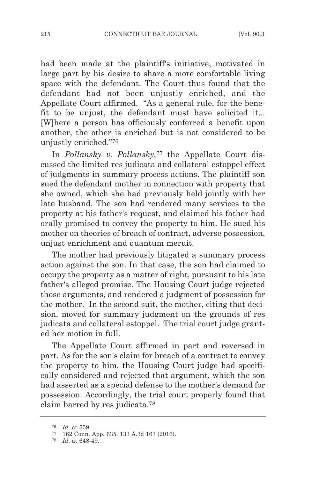had been made at the plaintiff's initiative, motivated in large part by his desire to share a more comfortable living space with the defendant. The Court thus found that the defendant had not been unjustly enriched, and the Appellate Court affirmed. "As a general rule, for the benefit to be unjust, the defendant must have solicited it... [W]here a person has officiously conferred a benefit upon another, the other is enriched but is not considered to be unjustly enriched."76

In *Pollansky v. Pollansky*<sup>77</sup> the Appellate Court discussed the limited res judicata and collateral estoppel effect of judgments in summary process actions. The plaintiff son sued the defendant mother in connection with property that she owned, which she had previously held jointly with her late husband. The son had rendered many services to the property at his father's request, and claimed his father had orally promised to convey the property to him. He sued his mother on theories of breach of contract, adverse possession, unjust enrichment and quantum meruit.

The mother had previously litigated a summary process action against the son. In that case, the son had claimed to occupy the property as a matter of right, pursuant to his late father's alleged promise. The Housing Court judge rejected those arguments, and rendered a judgment of possession for the mother. In the second suit, the mother, citing that decision, moved for summary judgment on the grounds of res judicata and collateral estoppel. The trial court judge granted her motion in full.

The Appellate Court affirmed in part and reversed in part. As for the son's claim for breach of a contract to convey the property to him, the Housing Court judge had specifically considered and rejected that argument, which the son had asserted as a special defense to the mother's demand for possession. Accordingly, the trial court properly found that claim barred by res judicata.78

<sup>76</sup> *Id*. at 559.

<sup>77</sup> 162 Conn. App. 635, 133 A.3d 167 (2016).

<sup>78</sup> *Id*. at 648-49.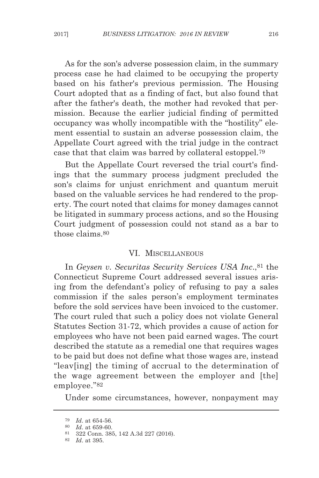As for the son's adverse possession claim, in the summary process case he had claimed to be occupying the property based on his father's previous permission. The Housing Court adopted that as a finding of fact, but also found that after the father's death, the mother had revoked that permission. Because the earlier judicial finding of permitted occupancy was wholly incompatible with the "hostility" element essential to sustain an adverse possession claim, the Appellate Court agreed with the trial judge in the contract case that that claim was barred by collateral estoppel.79

But the Appellate Court reversed the trial court's findings that the summary process judgment precluded the son's claims for unjust enrichment and quantum meruit based on the valuable services he had rendered to the property. The court noted that claims for money damages cannot be litigated in summary process actions, and so the Housing Court judgment of possession could not stand as a bar to those claims.80

#### VI. MISCELLANEOUS

In *Geysen v. Securitas Security Services USA Inc*.,81 the Connecticut Supreme Court addressed several issues arising from the defendant's policy of refusing to pay a sales commission if the sales person's employment terminates before the sold services have been invoiced to the customer. The court ruled that such a policy does not violate General Statutes Section 31-72, which provides a cause of action for employees who have not been paid earned wages. The court described the statute as a remedial one that requires wages to be paid but does not define what those wages are, instead "leav[ing] the timing of accrual to the determination of the wage agreement between the employer and [the] employee."82

Under some circumstances, however, nonpayment may

<sup>79</sup> *Id*. at 654-56.

<sup>80</sup> *Id*. at 659-60.

<sup>81</sup> 322 Conn. 385, 142 A.3d 227 (2016).

<sup>82</sup> *Id*. at 395.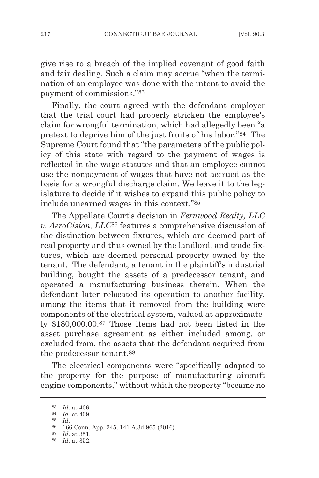give rise to a breach of the implied covenant of good faith and fair dealing. Such a claim may accrue "when the termination of an employee was done with the intent to avoid the payment of commissions."83

Finally, the court agreed with the defendant employer that the trial court had properly stricken the employee's claim for wrongful termination, which had allegedly been "a pretext to deprive him of the just fruits of his labor."84 The Supreme Court found that "the parameters of the public policy of this state with regard to the payment of wages is reflected in the wage statutes and that an employee cannot use the nonpayment of wages that have not accrued as the basis for a wrongful discharge claim. We leave it to the legislature to decide if it wishes to expand this public policy to include unearned wages in this context."85

The Appellate Court's decision in *Fernwood Realty, LLC v. AeroCision, LLC*<sup>86</sup> features a comprehensive discussion of the distinction between fixtures, which are deemed part of real property and thus owned by the landlord, and trade fixtures, which are deemed personal property owned by the tenant. The defendant, a tenant in the plaintiff's industrial building, bought the assets of a predecessor tenant, and operated a manufacturing business therein. When the defendant later relocated its operation to another facility, among the items that it removed from the building were components of the electrical system, valued at approximately \$180,000.00.87 Those items had not been listed in the asset purchase agreement as either included among, or excluded from, the assets that the defendant acquired from the predecessor tenant.88

The electrical components were "specifically adapted to the property for the purpose of manufacturing aircraft engine components," without which the property "became no

<sup>83</sup> *Id*. at 406.

<sup>84</sup> *Id*. at 409. 85 *Id*.

<sup>86</sup> 166 Conn. App. 345, 141 A.3d 965 (2016).

<sup>87</sup> *Id*. at 351.

<sup>88</sup> *Id*. at 352.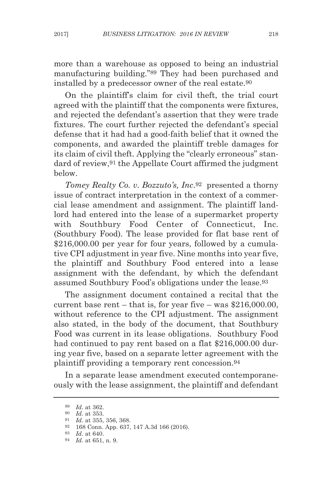more than a warehouse as opposed to being an industrial manufacturing building."89 They had been purchased and installed by a predecessor owner of the real estate.90

On the plaintiff's claim for civil theft, the trial court agreed with the plaintiff that the components were fixtures, and rejected the defendant's assertion that they were trade fixtures. The court further rejected the defendant's special defense that it had had a good-faith belief that it owned the components, and awarded the plaintiff treble damages for its claim of civil theft. Applying the "clearly erroneous" standard of review,91 the Appellate Court affirmed the judgment below.

*Tomey Realty Co. v. Bozzuto's, Inc*.92 presented a thorny issue of contract interpretation in the context of a commercial lease amendment and assignment. The plaintiff landlord had entered into the lease of a supermarket property with Southbury Food Center of Connecticut, Inc. (Southbury Food). The lease provided for flat base rent of \$216,000.00 per year for four years, followed by a cumulative CPI adjustment in year five. Nine months into year five, the plaintiff and Southbury Food entered into a lease assignment with the defendant, by which the defendant assumed Southbury Food's obligations under the lease.93

The assignment document contained a recital that the current base rent – that is, for year five – was  $$216,000,00$ , without reference to the CPI adjustment. The assignment also stated, in the body of the document, that Southbury Food was current in its lease obligations. Southbury Food had continued to pay rent based on a flat \$216,000.00 during year five, based on a separate letter agreement with the plaintiff providing a temporary rent concession.94

In a separate lease amendment executed contemporaneously with the lease assignment, the plaintiff and defendant

<sup>89</sup> *Id*. at 362.

<sup>90</sup> *Id*. at 353.

*Id.* at 355, 356, 368.

<sup>92</sup> 168 Conn. App. 637, 147 A.3d 166 (2016).

<sup>93</sup> *Id*. at 640.

<sup>94</sup> *Id*. at 651, n. 9.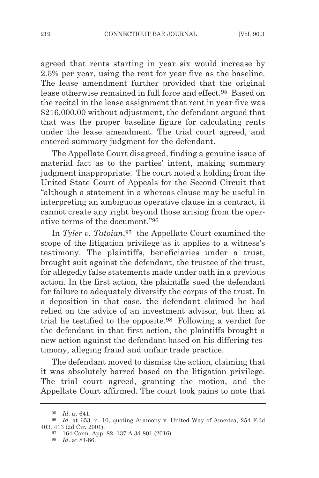agreed that rents starting in year six would increase by 2.5% per year, using the rent for year five as the baseline. The lease amendment further provided that the original lease otherwise remained in full force and effect.95 Based on the recital in the lease assignment that rent in year five was \$216,000.00 without adjustment, the defendant argued that that was the proper baseline figure for calculating rents under the lease amendment. The trial court agreed, and entered summary judgment for the defendant.

The Appellate Court disagreed, finding a genuine issue of material fact as to the parties' intent, making summary judgment inappropriate. The court noted a holding from the United State Court of Appeals for the Second Circuit that "although a statement in a whereas clause may be useful in interpreting an ambiguous operative clause in a contract, it cannot create any right beyond those arising from the operative terms of the document."96

In *Tyler v. Tatoian*,<sup>97</sup> the Appellate Court examined the scope of the litigation privilege as it applies to a witness's testimony. The plaintiffs, beneficiaries under a trust, brought suit against the defendant, the trustee of the trust, for allegedly false statements made under oath in a previous action. In the first action, the plaintiffs sued the defendant for failure to adequately diversify the corpus of the trust. In a deposition in that case, the defendant claimed he had relied on the advice of an investment advisor, but then at trial he testified to the opposite.98 Following a verdict for the defendant in that first action, the plaintiffs brought a new action against the defendant based on his differing testimony, alleging fraud and unfair trade practice.

The defendant moved to dismiss the action, claiming that it was absolutely barred based on the litigation privilege. The trial court agreed, granting the motion, and the Appellate Court affirmed. The court took pains to note that

<sup>95</sup> *Id*. at 641.

<sup>96</sup> *Id*. at 653, n. 10, quoting Aramony v. United Way of America, 254 F.3d 403, 413 (2d Cir. 2001).

<sup>97</sup> 164 Conn. App. 82, 137 A.3d 801 (2016).

<sup>98</sup> *Id*. at 84-86.